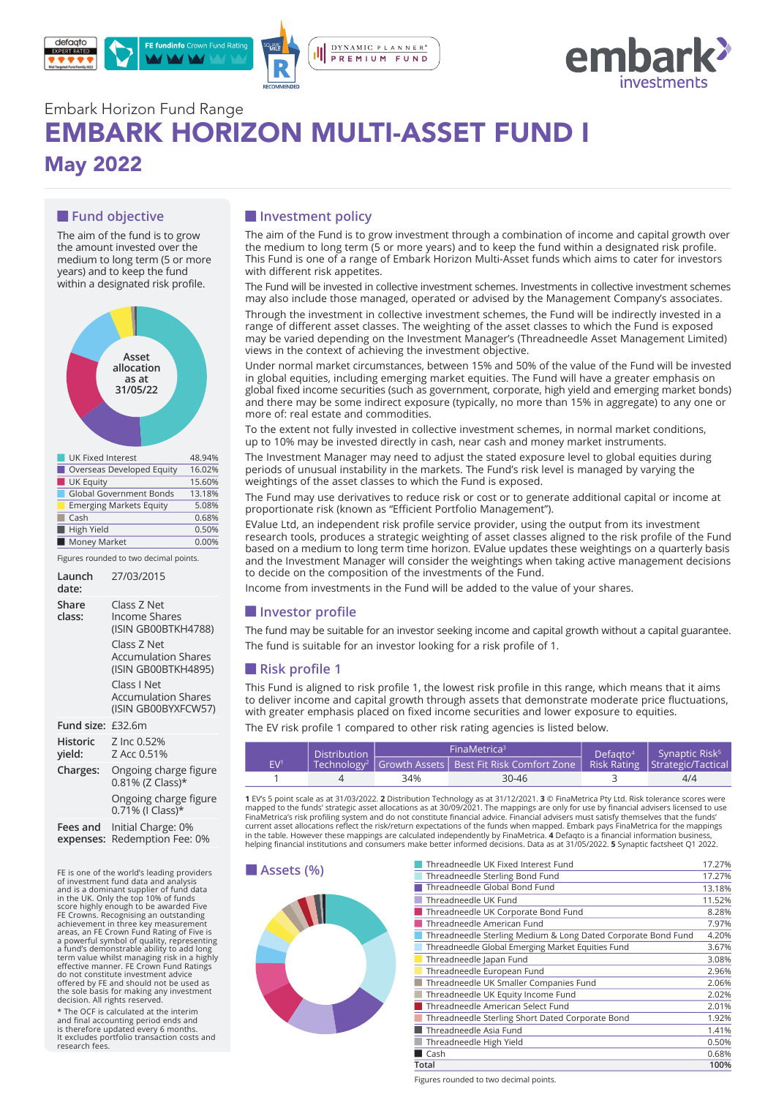



# Embark Horizon Fund Range EMBARK HORIZON MULTI-ASSET FUND I May 2022

## **Fund objective**

The aim of the fund is to grow the amount invested over the medium to long term (5 or more years) and to keep the fund within a designated risk profile.



| overseas severspea caarty      |        |
|--------------------------------|--------|
| <b>UK Equity</b>               | 15.60% |
| <b>Global Government Bonds</b> | 13.18% |
| <b>Emerging Markets Equity</b> | 5.08%  |
| Cash                           | 0.68%  |
| High Yield                     | 0.50%  |
| Money Market                   | 0.00%  |
|                                |        |

Figures rounded to two decimal points.

| Launch<br>date:           | 27/03/2015                                                                                                                                                                  |
|---------------------------|-----------------------------------------------------------------------------------------------------------------------------------------------------------------------------|
| Share<br>class:           | Class Z Net<br><b>Income Shares</b><br>(ISIN GB00BTKH4788)<br>Class Z Net<br><b>Accumulation Shares</b><br>(ISIN GB00BTKH4895)<br>Class I Net<br><b>Accumulation Shares</b> |
|                           | (ISIN GB00BYXFCW57)                                                                                                                                                         |
| Fund size:                | £32.6m                                                                                                                                                                      |
| <b>Historic</b><br>yield: | Z Inc 0.52%<br>Z Acc 0.51%                                                                                                                                                  |
| Charges:                  | Ongoing charge figure<br>0.81% (Z Class)*                                                                                                                                   |
|                           | Ongoing charge figure<br>0.71% (I Class)*                                                                                                                                   |
| Fees and<br>expenses:     | Initial Charge: 0%<br>Redemption Fee: 0%                                                                                                                                    |

FE is one of the world's leading providers of investment fund data and analysis and is a dominant supplier of fund data<br>in the UK. Only the top 10% of funds<br>iscore highly enough to be awarded Five<br>FE Crowns. Recognising an outstanding<br>FE Crowns. Recognising an outstanding<br>areas, an FE Crown Fund Ratin do not constitute investment advice offered by FE and should not be used as the sole basis for making any investment decision. All rights reserved.

\* The OCF is calculated at the interim and final accounting period ends and is therefore updated every 6 months. It excludes portfolio transaction costs and research fees.

## $\blacksquare$  Investment policy

The aim of the Fund is to grow investment through a combination of income and capital growth over the medium to long term  $\overline{6}$  or more years) and to keep the fund within a designated risk profile. This Fund is one of a range of Embark Horizon Multi-Asset funds which aims to cater for investors with different risk appetites.

The Fund will be invested in collective investment schemes. Investments in collective investment schemes may also include those managed, operated or advised by the Management Company's associates.

Through the investment in collective investment schemes, the Fund will be indirectly invested in a range of different asset classes. The weighting of the asset classes to which the Fund is exposed may be varied depending on the Investment Manager's (Threadneedle Asset Management Limited) views in the context of achieving the investment objective.

Under normal market circumstances, between 15% and 50% of the value of the Fund will be invested in global equities, including emerging market equities. The Fund will have a greater emphasis on global fixed income securities (such as government, corporate, high yield and emerging market bonds) and there may be some indirect exposure (typically, no more than 15% in aggregate) to any one or more of: real estate and commodities.

To the extent not fully invested in collective investment schemes, in normal market conditions, up to 10% may be invested directly in cash, near cash and money market instruments.

The Investment Manager may need to adjust the stated exposure level to global equities during periods of unusual instability in the markets. The Fund's risk level is managed by varying the weightings of the asset classes to which the Fund is exposed.

The Fund may use derivatives to reduce risk or cost or to generate additional capital or income at proportionate risk (known as "Efficient Portfolio Management").

EValue Ltd, an independent risk profile service provider, using the output from its investment research tools, produces a strategic weighting of asset classes aligned to the risk profile of the Fund based on a medium to long term time horizon. EValue updates these weightings on a quarterly basis and the Investment Manager will consider the weightings when taking active management decisions to decide on the composition of the investments of the Fund.

Income from investments in the Fund will be added to the value of your shares.

### **Investor profile**

The fund may be suitable for an investor seeking income and capital growth without a capital guarantee. The fund is suitable for an investor looking for a risk profile of 1.

### **Risk profile 1**

This Fund is aligned to risk profile 1, the lowest risk profile in this range, which means that it aims to deliver income and capital growth through assets that demonstrate moderate price fluctuations, with greater emphasis placed on fixed income securities and lower exposure to equities.

The EV risk profile 1 compared to other risk rating agencies is listed below.

| <b>Distribution</b><br>EV <sup>1</sup> |  |                                                                                                         | FinaMetrica <sup>3</sup> | Defagto <sup>4</sup> Synaptic Risk <sup>5</sup> |  |
|----------------------------------------|--|---------------------------------------------------------------------------------------------------------|--------------------------|-------------------------------------------------|--|
|                                        |  | Technology <sup>2</sup>   Growth Assets   Best Fit Risk Comfort Zone   Risk Rating   Strategic/Tactical |                          |                                                 |  |
|                                        |  | 34%                                                                                                     | $30 - 46$                | 4/4                                             |  |

**1** EV's 5 point scale as at 31/03/2022. **2** Distribution Technology as at 31/12/2021. **3** © FinaMetrica Pty Ltd. Risk tolerance scores were<br>mapped to the funds' strategic asset allocations as at 30/09/2021. The mappings a current asset allocations reflect the risk/return expectations of the funds when mapped. Embark pays FinaMetrica for the mappings in the table. However these mappings are calculated independently by FinaMetrica. **4** Defaqto is a financial information business,<br>helping financial institutions and consumers make better informed decisions. Data as at 31/



| Threadneedle UK Fixed Interest Fund                           | 17.27% |
|---------------------------------------------------------------|--------|
| Threadneedle Sterling Bond Fund                               | 17.27% |
| Threadneedle Global Bond Fund                                 | 13.18% |
| Threadneedle UK Fund                                          | 11.52% |
| Threadneedle UK Corporate Bond Fund                           | 8.28%  |
| Threadneedle American Fund                                    | 7.97%  |
| Threadneedle Sterling Medium & Long Dated Corporate Bond Fund | 4.20%  |
| Threadneedle Global Emerging Market Equities Fund             | 3.67%  |
| Threadneedle Japan Fund                                       | 3.08%  |
| Threadneedle European Fund                                    | 2.96%  |
| Threadneedle UK Smaller Companies Fund                        | 2.06%  |
| Threadneedle UK Equity Income Fund                            | 2.02%  |
| Threadneedle American Select Fund                             | 2.01%  |
| Threadneedle Sterling Short Dated Corporate Bond              | 1.92%  |
| Threadneedle Asia Fund                                        | 1.41%  |
| Threadneedle High Yield                                       | 0.50%  |
| Cash                                                          | 0.68%  |
| Total                                                         | 100%   |

Figures rounded to two decimal points.